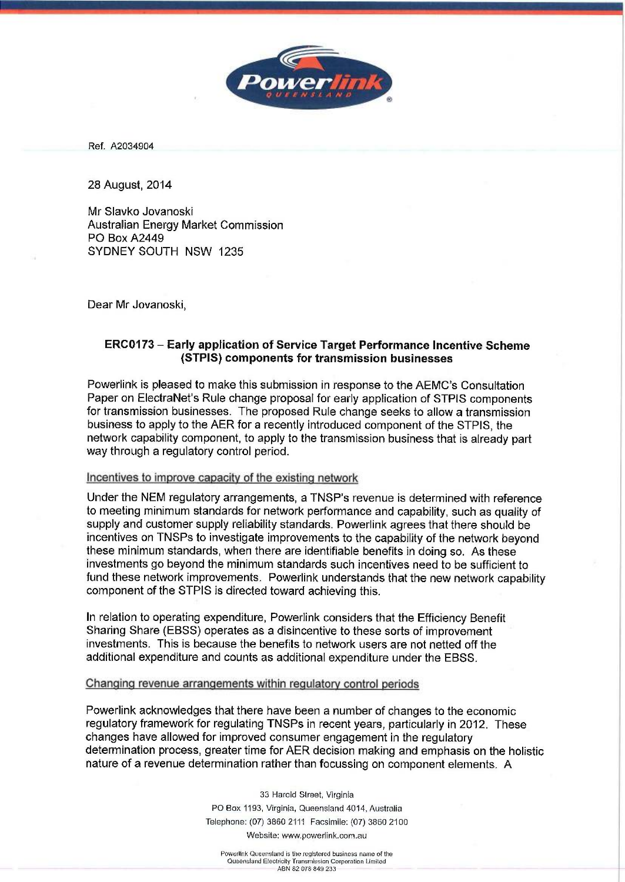Ref. A2034904

28 August, 2014

Mr Slavko Jovanoski Australian Energy Market Commission PO Box A2449 SYDNEY SOUTH NSW 1235

Dear Mr Jovanoski,

## ERC0173 - Early application of Service Target Performance Incentive Scheme (STPIS) components for transmission businesses

Powerlink is pleased to make this submission in response to the AEMC's Consultation Paper on ElectraNet's Rule change proposal for early application of STPIS components for transmission businesses. The proposed Rule change seeks to allow a transmission business to apply to the AER for a recently introduced component of the STPIS, the network capability component, to apply to the transmission business that is already part way through a regulatory control period.

## Incentives to improve capacity of the existing network

Under the NEM regulatory arrangements, a TNSP's revenue is determined with reference to meeting minimum standards for network performance and capability, such as quality of supply and customer supply reliability standards. Powerlink agrees that there should be incentives on TNSPs to investigate improvements to the capability of the network beyond these minimum standards, when there are identifiable benefits in doing so. As these investments go beyond the minimum standards such incentives need to be sufficient to fund these network improvements. Powerlink understands that the new network capability component of the STPIS is directed toward achieving this.

In relation to operating expenditure, Powerlink considers that the Efficiency Benefit Sharing Share (EBSS) operates as a disincentive to these sorts of improvement investments. This is because the benefits to network users are not netted off the additional expenditure and counts as additional expenditure under the EBSS.

Changing revenue arrangements within regulatory control periods

Powerlink acknowledges that there have been a number of changes to the economic regulatory framework for regulating TNSPs in recent years, particularly in 2012. These changes have allowed for improved consumer engagement in the regulatory determination process, greater time for AER decision making and emphasis on the holistic nature of a revenue determination rather than focussing on component elements. A

> 33 Harold Street, Virginia PO Box 1193, Virginia, Queensland 4014, Australia Telephone: (07) 3860 2111 Facsimile: (07) 3860 2100 Website: www.powerlink.com.au

Powerlink Queensland is the registered business name of the Queensland Electricity Transmission Corporation Limited ABN 82078 849 233